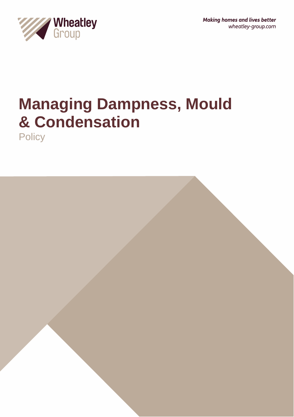

# **Managing Dampness, Mould & Condensation**

**Policy** 

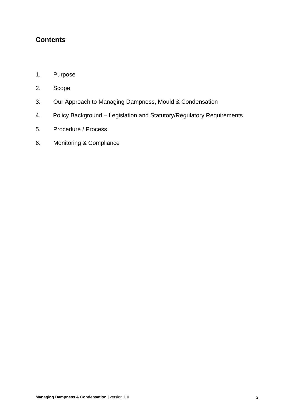# **Contents**

- 1. Purpose
- 2. Scope
- 3. Our Approach to Managing Dampness, Mould & Condensation
- 4. Policy Background Legislation and Statutory/Regulatory Requirements
- 5. Procedure / Process
- 6. Monitoring & Compliance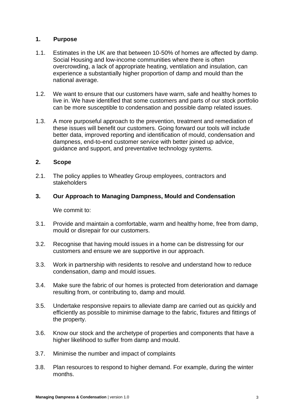## **1. Purpose**

- 1.1. Estimates in the UK are that between 10-50% of homes are affected by damp. Social Housing and low-income communities where there is often overcrowding, a lack of appropriate heating, ventilation and insulation, can experience a substantially higher proportion of damp and mould than the national average.
- 1.2. We want to ensure that our customers have warm, safe and healthy homes to live in. We have identified that some customers and parts of our stock portfolio can be more susceptible to condensation and possible damp related issues.
- 1.3. A more purposeful approach to the prevention, treatment and remediation of these issues will benefit our customers. Going forward our tools will include better data, improved reporting and identification of mould, condensation and dampness, end-to-end customer service with better joined up advice, guidance and support, and preventative technology systems.

## **2. Scope**

2.1. The policy applies to Wheatley Group employees, contractors and stakeholders

#### **3. Our Approach to Managing Dampness, Mould and Condensation**

We commit to:

- 3.1. Provide and maintain a comfortable, warm and healthy home, free from damp, mould or disrepair for our customers.
- 3.2. Recognise that having mould issues in a home can be distressing for our customers and ensure we are supportive in our approach.
- 3.3. Work in partnership with residents to resolve and understand how to reduce condensation, damp and mould issues.
- 3.4. Make sure the fabric of our homes is protected from deterioration and damage resulting from, or contributing to, damp and mould.
- 3.5. Undertake responsive repairs to alleviate damp are carried out as quickly and efficiently as possible to minimise damage to the fabric, fixtures and fittings of the property.
- 3.6. Know our stock and the archetype of properties and components that have a higher likelihood to suffer from damp and mould.
- 3.7. Minimise the number and impact of complaints
- 3.8. Plan resources to respond to higher demand. For example, during the winter months.